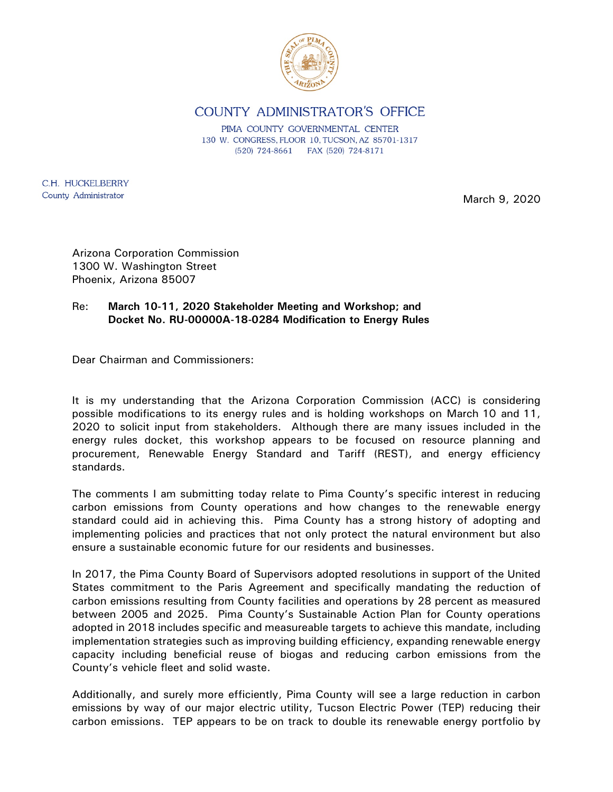

COUNTY ADMINISTRATOR'S OFFICE

PIMA COUNTY GOVERNMENTAL CENTER 130 W. CONGRESS, FLOOR 10, TUCSON, AZ 85701-1317 (520) 724-8661 FAX (520) 724-8171

C.H. HUCKELBERRY County Administrator

March 9, 2020

Arizona Corporation Commission 1300 W. Washington Street Phoenix, Arizona 85007

Re: **March 10-11, 2020 Stakeholder Meeting and Workshop; and Docket No. RU-00000A-18-0284 Modification to Energy Rules**

Dear Chairman and Commissioners:

It is my understanding that the Arizona Corporation Commission (ACC) is considering possible modifications to its energy rules and is holding workshops on March 10 and 11, 2020 to solicit input from stakeholders. Although there are many issues included in the energy rules docket, this workshop appears to be focused on resource planning and procurement, Renewable Energy Standard and Tariff (REST), and energy efficiency standards.

The comments I am submitting today relate to Pima County's specific interest in reducing carbon emissions from County operations and how changes to the renewable energy standard could aid in achieving this. Pima County has a strong history of adopting and implementing policies and practices that not only protect the natural environment but also ensure a sustainable economic future for our residents and businesses.

In 2017, the Pima County Board of Supervisors adopted resolutions in support of the United States commitment to the Paris Agreement and specifically mandating the reduction of carbon emissions resulting from County facilities and operations by 28 percent as measured between 2005 and 2025. Pima County's Sustainable Action Plan for County operations adopted in 2018 includes specific and measureable targets to achieve this mandate, including implementation strategies such as improving building efficiency, expanding renewable energy capacity including beneficial reuse of biogas and reducing carbon emissions from the County's vehicle fleet and solid waste.

Additionally, and surely more efficiently, Pima County will see a large reduction in carbon emissions by way of our major electric utility, Tucson Electric Power (TEP) reducing their carbon emissions. TEP appears to be on track to double its renewable energy portfolio by